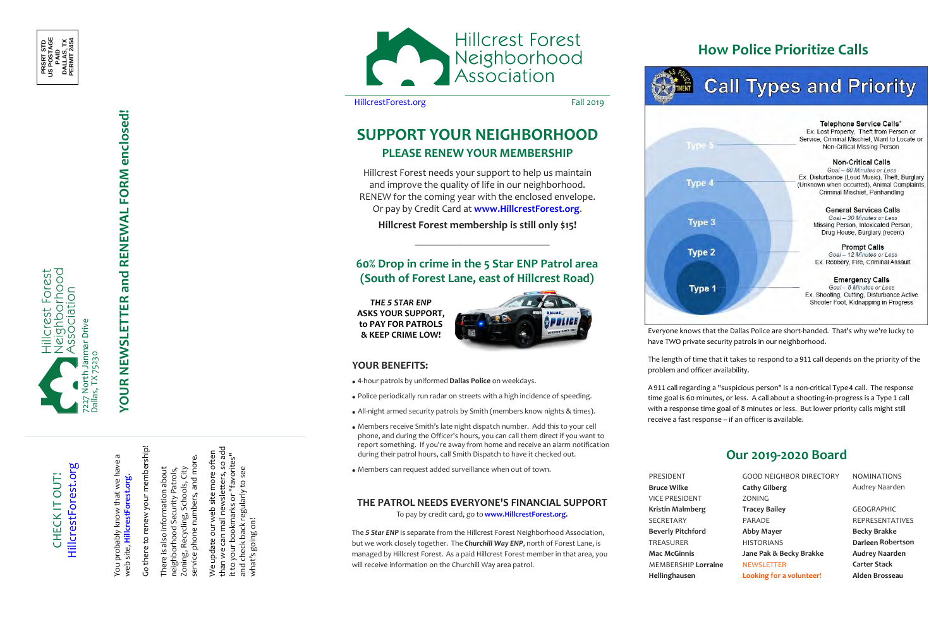#### **THE PATROL NEEDS EVERYONE'S FINANCIAL SUPPORT**

To pay by credit card, go to **www.HillcrestForest.org.**

HillcrestForest.org HillcrestForest.org CHECK IT OUT! CHECK IT OUT!

The *5 Star ENP* is separate from the Hillcrest Forest Neighborhood Association, but we work closely together. The *Churchill Way ENP*, north of Forest Lane, is managed by Hillcrest Forest. As a paid Hillcrest Forest member in that area, you will receive information on the Churchill Way area patrol .



Go there to renew your membership! Go there to renew your membership!

Schools, City<br>nbers, and more. service phone numbers, and more. Zoning, Recycling, Schools, City neighborhood Security Patrols, also information about There is also information about Security Patrols, phone numbers, Zoning, Recycling,<br>service phone num neighborhood  $\bar{\mathbf{z}}.$ There i

than we can mail newsletters, so add l newsletters, so add<br>arks or "favorites" We update our web site more often web site more often it to your bookmarks or "favorites" and check back regularly to see it to your bookmarks or "favorit<br>and check back regularly to see can mail I what's going on! what's going on! We update our v<br>than we can mai

**Hillcrest Forest** Neighborhood<br>Association

HillcrestForest.org

Fall 2019

PRESIDENT

**Bruce Wilke** VICE PRESIDENT **Kristin Malmberg** SECRETARY **Beverly Pitchford** TREASURER **Mac McGinnis** MEMBERSHIP **Lorraine Hellinghausen**

GOOD NEIGHBOR DIRECTORY **Cathy Gilberg** ZONING **Tracey Bailey** PARADE **Abby Mayer HISTORIANS Jane Pak & Becky Brakke NEWSLETTER Looking for a volunteer!**

NOMINATIONS Audrey Naarden

A911 call regarding a "suspicious person" is a non-critical Type 4 call. The response time goal is 60 minutes, or less. A call about a shooting-in-progress is a Type 1 call with a response time goal of 8 minutes or less. But lower priority call s might still receive a fast response -- if an officer is available.

> GEOGRAPHIC REPRESENTATIVES **Becky Brakke Darleen Robertson Audrey Naarden Carter Stack Alden Brosseau**



# **How Police Prioritize Calls**

# **Call Types and Priority**

|        | Telephone Service Calls*<br>Ex. Lost Property, Theft from Person or           |
|--------|-------------------------------------------------------------------------------|
|        | Service, Criminal Mischief, Want to Locate or                                 |
| Type 5 | Non-Critical Missing Person                                                   |
|        | <b>Non-Critical Calls</b>                                                     |
|        | Goal - 60 Minutes or Less                                                     |
|        | Ex. Disturbance (Loud Music), Theft, Burglary                                 |
| Type 4 | (Unknown when occurred), Animal Complaints,<br>Criminal Mischief, Panhandling |
|        | <b>General Services Calls</b>                                                 |
| Type 3 | Goal - 30 Minutes or Less                                                     |
|        | Missing Person, Intoxicated Person,<br>Drug House, Burglary (recent)          |
|        | <b>Prompt Calls</b>                                                           |
| Type 2 | Goal - 12 Minutes or Less                                                     |
|        | Ex. Robbery, Fire, Criminal Assault                                           |
|        | <b>Emergency Calls</b>                                                        |
| Type 1 | Goal - 8 Minutes or Less                                                      |
|        | Ex. Shooting, Cutting, Disturbance Active                                     |
|        | Shooter Foot, Kidnapping in Progress                                          |
|        |                                                                               |

Hillcrest Forest<br>Neighborhood<br>Association anmar Drive 7227 North Janmar Drive Dallas, TX 75230

YOUR NEWSLETTER and RENEWAL FORM enclosed! **YOUR NEWSLETTER and RENEWAL FORM enclosed!**

You probably know that we have a You probably know that we have a<br>web site, **HillcrestForest.org**. web site, **HillcrestForest.org**.

*THE 5 STAR ENP* **ASKS YOUR SUPPORT , to PAY FOR PATROLS & KEEP CRIME LOW !**



# **SUPPORT YOUR NEIGHBORHOOD PLEASE RENEW YOUR MEMBERSHIP**

Hillcrest Forest need s your support to help us maintain and improve the quality of life in our neighborhood. RENEW for the coming year with the enclosed envelope. Or pay by Credit Card at **www.Hillcrest Forest.org** .

**Hillcrest Forest membership is still only \$15!**

 $\overline{\phantom{a}}$  , where  $\overline{\phantom{a}}$  , where  $\overline{\phantom{a}}$  , where  $\overline{\phantom{a}}$  , where  $\overline{\phantom{a}}$ 

### **60% Drop in crime in the 5 Star ENP Patrol area (South of Forest Lane, east of Hillcrest Road)**

Everyone know s that the Dallas Police are short-handed. That's why we're lucky to have TWO private security patrols in our neighborhood.

The length of time that it takes to respond to a 911 call depends on the priority of the problem and officer availability .

#### **Our 2019-2020 Board**

#### **YOUR BENEFITS:**

- 4-hour patrols by uniformed **Dallas Police** on weekdays.
- Police periodically run radar on streets with a high incidence of speeding.
- All-night armed security patrols by Smith (members know nights & times).
- Members receive Smith's late night dispatch number. Add this to your cell phone, and during the Officer's hours, you can call them direct if you want to report something. If you're away from home and receive an alarm notification during their patrol hours, call Smith Dispatch to have it checked out.
- Members can request added surveillance when out of town.